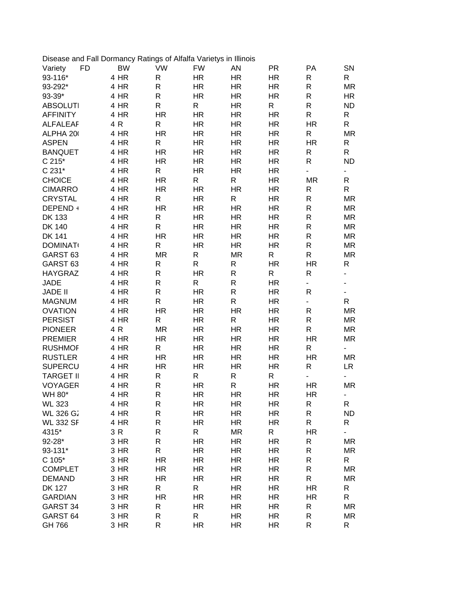| Disease and Fall Dormancy Ratings of Alfalfa Varietys in Illinois |              |                           |                        |                           |                        |                                          |                               |
|-------------------------------------------------------------------|--------------|---------------------------|------------------------|---------------------------|------------------------|------------------------------------------|-------------------------------|
| <b>FD</b><br>Variety                                              | <b>BW</b>    | <b>VW</b>                 | <b>FW</b>              | AN                        | <b>PR</b>              | PA                                       | SN                            |
| 93-116*                                                           | 4 HR         | $\mathsf{R}$              | <b>HR</b>              | <b>HR</b>                 | <b>HR</b>              | R                                        | R                             |
| 93-292*                                                           | 4 HR         | $\mathsf{R}$              | <b>HR</b>              | <b>HR</b>                 | HR.                    | R                                        | MR                            |
| 93-39*                                                            | 4 HR         | $\mathsf{R}$              | <b>HR</b>              | <b>HR</b>                 | <b>HR</b>              | $\mathsf{R}$                             | HR.                           |
| <b>ABSOLUTI</b>                                                   | 4 HR         | $\mathsf{R}$              | R                      | <b>HR</b>                 | R                      | R                                        | <b>ND</b>                     |
| <b>AFFINITY</b>                                                   | 4 HR         | <b>HR</b>                 | <b>HR</b>              | <b>HR</b>                 | <b>HR</b>              | R                                        | R                             |
| <b>ALFALEAF</b>                                                   | 4 R          | $\mathsf{R}$              | <b>HR</b>              | <b>HR</b>                 | <b>HR</b>              | <b>HR</b>                                | R                             |
| ALPHA 20                                                          | 4 HR         | <b>HR</b>                 | <b>HR</b>              | <b>HR</b>                 | <b>HR</b>              | R                                        | <b>MR</b>                     |
| <b>ASPEN</b>                                                      | 4 HR         | $\mathsf{R}$              | <b>HR</b>              | <b>HR</b>                 | <b>HR</b>              | <b>HR</b>                                | R                             |
| <b>BANQUET</b>                                                    | 4 HR         | <b>HR</b>                 | <b>HR</b>              | <b>HR</b>                 | <b>HR</b>              | R                                        | R                             |
| C 215*                                                            | 4 HR         | <b>HR</b>                 | <b>HR</b>              | <b>HR</b>                 | <b>HR</b>              | $\mathsf R$                              | <b>ND</b>                     |
| C 231*                                                            | 4 HR         | $\mathsf{R}$              | <b>HR</b>              | <b>HR</b>                 | <b>HR</b>              | ä,                                       | ÷,                            |
| <b>CHOICE</b>                                                     | 4 HR         | <b>HR</b>                 | R                      | R                         | HR.                    | <b>MR</b>                                | R                             |
| <b>CIMARRO</b>                                                    | 4 HR         | <b>HR</b>                 | <b>HR</b>              | <b>HR</b>                 | <b>HR</b>              | R                                        | R                             |
| <b>CRYSTAL</b>                                                    | 4 HR         | $\mathsf{R}$              | <b>HR</b>              | $\mathsf{R}$              | <b>HR</b>              | R                                        | <b>MR</b>                     |
| DEPEND +                                                          | 4 HR         | <b>HR</b>                 | <b>HR</b>              | <b>HR</b>                 | <b>HR</b>              | $\mathsf{R}$                             | <b>MR</b>                     |
| <b>DK 133</b>                                                     | 4 HR         | $\mathsf{R}$              | <b>HR</b>              | <b>HR</b>                 | <b>HR</b>              | $\mathsf{R}$                             | <b>MR</b>                     |
| <b>DK 140</b>                                                     | 4 HR         | $\mathsf{R}$              | <b>HR</b>              | <b>HR</b>                 | <b>HR</b>              | R                                        | <b>MR</b>                     |
| <b>DK 141</b>                                                     | 4 HR         | <b>HR</b>                 | <b>HR</b>              | <b>HR</b>                 | <b>HR</b>              | $\mathsf{R}$                             | <b>MR</b>                     |
| <b>DOMINAT</b>                                                    | 4 HR         | $\mathsf{R}$              | <b>HR</b>              | <b>HR</b>                 | <b>HR</b>              | $\mathsf{R}$                             | <b>MR</b>                     |
| GARST <sub>63</sub>                                               | 4 HR         | <b>MR</b>                 | R                      | <b>MR</b>                 | R                      | $\mathsf{R}$                             | <b>MR</b>                     |
| GARST <sub>63</sub>                                               | 4 HR         | $\mathsf{R}$              | R                      | R                         | <b>HR</b>              | <b>HR</b>                                | R                             |
| <b>HAYGRAZ</b>                                                    | 4 HR         | $\mathsf{R}$              | <b>HR</b>              | R                         | R                      | R                                        | $\overline{\phantom{0}}$      |
| <b>JADE</b>                                                       | 4 HR         | $\mathsf{R}$              | R                      | $\mathsf{R}$              | <b>HR</b>              | $\blacksquare$                           |                               |
| <b>JADE II</b>                                                    | 4 HR         | $\mathsf R$               | <b>HR</b>              | $\mathsf{R}$              |                        | $\mathsf{R}$                             | ۰                             |
|                                                                   | 4 HR         | $\mathsf{R}$              |                        | $\mathsf{R}$              | HR.                    |                                          | $\overline{\phantom{0}}$<br>R |
| <b>MAGNUM</b>                                                     |              |                           | <b>HR</b>              |                           | <b>HR</b>              | $\overline{\phantom{0}}$<br>$\mathsf{R}$ |                               |
| <b>OVATION</b><br><b>PERSIST</b>                                  | 4 HR<br>4 HR | <b>HR</b><br>$\mathsf{R}$ | <b>HR</b><br><b>HR</b> | <b>HR</b><br>$\mathsf{R}$ | <b>HR</b><br><b>HR</b> | R                                        | MR                            |
|                                                                   |              |                           |                        |                           |                        | $\mathsf{R}$                             | MR                            |
| <b>PIONEER</b>                                                    | 4 R          | <b>MR</b>                 | <b>HR</b>              | <b>HR</b>                 | <b>HR</b>              |                                          | <b>MR</b>                     |
| <b>PREMIER</b>                                                    | 4 HR         | <b>HR</b>                 | <b>HR</b>              | <b>HR</b>                 | <b>HR</b>              | <b>HR</b>                                | <b>MR</b>                     |
| <b>RUSHMOF</b>                                                    | 4 HR         | $\mathsf{R}$              | <b>HR</b>              | <b>HR</b>                 | <b>HR</b>              | $\mathsf{R}$                             |                               |
| <b>RUSTLER</b>                                                    | 4 HR         | <b>HR</b>                 | <b>HR</b>              | <b>HR</b>                 | <b>HR</b>              | <b>HR</b>                                | <b>MR</b>                     |
| <b>SUPERCU</b>                                                    | 4 HR         | <b>HR</b>                 | <b>HR</b>              | <b>HR</b>                 | <b>HR</b>              | R                                        | LR.                           |
| <b>TARGET II</b>                                                  | 4 HR         | $\mathsf{R}$              | R                      | $\mathsf{R}$              | R                      | $\blacksquare$                           | <b>MR</b>                     |
| <b>VOYAGER</b>                                                    | 4 HR         | $\mathsf{R}$              | <b>HR</b>              | R                         | <b>HR</b>              | <b>HR</b>                                |                               |
| WH 80*                                                            | 4 HR         | R                         | HR                     | <b>HR</b>                 | HR                     | <b>HR</b>                                | -                             |
| <b>WL 323</b>                                                     | 4 HR         | R                         | <b>HR</b>              | <b>HR</b>                 | HR                     | $\mathsf R$                              | R                             |
| <b>WL 326 G2</b>                                                  | 4 HR         | R                         | <b>HR</b>              | HR.                       | HR                     | $\mathsf{R}$                             | <b>ND</b>                     |
| <b>WL 332 SF</b>                                                  | 4 HR         | ${\sf R}$                 | <b>HR</b>              | HR.                       | HR                     | $\mathsf R$                              | R                             |
| 4315*                                                             | 3 R          | R                         | R                      | <b>MR</b>                 | R                      | <b>HR</b>                                |                               |
| $92 - 28*$                                                        | 3 HR         | ${\sf R}$                 | <b>HR</b>              | <b>HR</b>                 | HR                     | $\mathsf R$                              | MR                            |
| 93-131*                                                           | 3 HR         | ${\sf R}$                 | HR                     | <b>HR</b>                 | <b>HR</b>              | $\mathsf R$                              | MR                            |
| $C 105*$                                                          | 3 HR         | <b>HR</b>                 | <b>HR</b>              | <b>HR</b>                 | HR                     | R                                        | R                             |
| <b>COMPLET</b>                                                    | 3 HR         | <b>HR</b>                 | <b>HR</b>              | <b>HR</b>                 | HR                     | ${\sf R}$                                | MR                            |
| <b>DEMAND</b>                                                     | 3 HR         | <b>HR</b>                 | HR                     | <b>HR</b>                 | HR                     | R                                        | MR                            |
| <b>DK 127</b>                                                     | 3 HR         | R                         | R                      | <b>HR</b>                 | HR                     | <b>HR</b>                                | R                             |
| <b>GARDIAN</b>                                                    | 3 HR         | <b>HR</b>                 | HR                     | HR                        | HR                     | <b>HR</b>                                | R                             |
| GARST 34                                                          | 3 HR         | R                         | HR                     | <b>HR</b>                 | HR                     | R                                        | MR                            |
| GARST <sub>64</sub>                                               | 3 HR         | R                         | R                      | <b>HR</b>                 | HR                     | R                                        | <b>MR</b>                     |
| GH 766                                                            | 3 HR         | R                         | <b>HR</b>              | <b>HR</b>                 | HR                     | R                                        | R                             |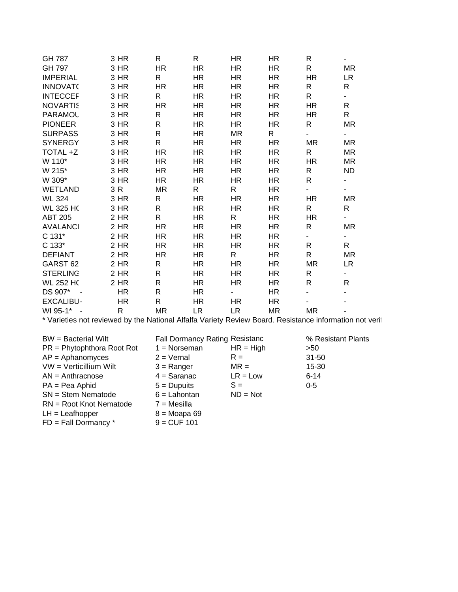| GH 787                                                                                                  | 3 HR         | $\mathsf R$     | $\mathsf{R}$                          | <b>HR</b>    | HR        | R                  | ÷,                       |
|---------------------------------------------------------------------------------------------------------|--------------|-----------------|---------------------------------------|--------------|-----------|--------------------|--------------------------|
| GH 797                                                                                                  | 3 HR         | <b>HR</b>       | <b>HR</b>                             | <b>HR</b>    | <b>HR</b> | $\mathsf{R}$       | <b>MR</b>                |
| <b>IMPERIAL</b>                                                                                         | 3 HR         | $\mathsf R$     | HR.                                   | <b>HR</b>    | <b>HR</b> | <b>HR</b>          | <b>LR</b>                |
| <b>INNOVATO</b>                                                                                         | 3 HR         | <b>HR</b>       | <b>HR</b>                             | <b>HR</b>    | <b>HR</b> | R                  | R.                       |
| <b>INTECCEF</b>                                                                                         | 3 HR         | $\mathsf R$     | <b>HR</b>                             | <b>HR</b>    | <b>HR</b> | $\mathsf{R}$       | $\blacksquare$           |
| <b>NOVARTIS</b>                                                                                         | 3 HR         | <b>HR</b>       | <b>HR</b>                             | <b>HR</b>    | <b>HR</b> | <b>HR</b>          | R                        |
| PARAMOL                                                                                                 | 3 HR         | R               | <b>HR</b>                             | <b>HR</b>    | <b>HR</b> | HR                 | R                        |
| <b>PIONEER</b>                                                                                          | 3 HR         | $\mathsf R$     | <b>HR</b>                             | <b>HR</b>    | <b>HR</b> | $\mathsf{R}$       | <b>MR</b>                |
| <b>SURPASS</b>                                                                                          | 3 HR         | ${\sf R}$       | <b>HR</b>                             | <b>MR</b>    | ${\sf R}$ | ÷,                 | $\overline{\phantom{0}}$ |
| <b>SYNERGY</b>                                                                                          | 3 HR         | ${\sf R}$       | <b>HR</b>                             | <b>HR</b>    | <b>HR</b> | <b>MR</b>          | <b>MR</b>                |
| TOTAL +Z                                                                                                | 3 HR         | <b>HR</b>       | <b>HR</b>                             | <b>HR</b>    | <b>HR</b> | R                  | <b>MR</b>                |
| W 110*                                                                                                  | 3 HR         | <b>HR</b>       | <b>HR</b>                             | <b>HR</b>    | <b>HR</b> | <b>HR</b>          | <b>MR</b>                |
| W 215*                                                                                                  | 3 HR         | <b>HR</b>       | <b>HR</b>                             | <b>HR</b>    | <b>HR</b> | R                  | <b>ND</b>                |
| W 309*                                                                                                  | 3 HR         | <b>HR</b>       | <b>HR</b>                             | <b>HR</b>    | <b>HR</b> | $\mathsf{R}$       | $\overline{\phantom{0}}$ |
| <b>WETLAND</b>                                                                                          | 3 R          | <b>MR</b>       | $\mathsf{R}$                          | $\mathsf{R}$ | <b>HR</b> |                    | ä,                       |
| <b>WL 324</b>                                                                                           | 3 HR         | $\mathsf{R}$    | <b>HR</b>                             | <b>HR</b>    | <b>HR</b> | <b>HR</b>          | <b>MR</b>                |
| <b>WL 325 HC</b>                                                                                        | 3 HR         | R               | <b>HR</b>                             | <b>HR</b>    | <b>HR</b> | R                  | R                        |
| <b>ABT 205</b>                                                                                          | 2 HR         | R               | <b>HR</b>                             | $\mathsf{R}$ | <b>HR</b> | <b>HR</b>          | ÷,                       |
| <b>AVALANCI</b>                                                                                         | 2 HR         | <b>HR</b>       | <b>HR</b>                             | <b>HR</b>    | <b>HR</b> | R                  | <b>MR</b>                |
| C 131*                                                                                                  | 2 HR         | <b>HR</b>       | <b>HR</b>                             | <b>HR</b>    | <b>HR</b> | ÷.                 | ÷.                       |
| $C 133*$                                                                                                | 2 HR         | <b>HR</b>       | <b>HR</b>                             | <b>HR</b>    | <b>HR</b> | R                  | R                        |
| <b>DEFIANT</b>                                                                                          | 2 HR         | <b>HR</b>       | <b>HR</b>                             | R            | <b>HR</b> | R                  | <b>MR</b>                |
| GARST <sub>62</sub>                                                                                     | 2 HR         | $\mathsf R$     | <b>HR</b>                             | <b>HR</b>    | <b>HR</b> | <b>MR</b>          | <b>LR</b>                |
| <b>STERLING</b>                                                                                         | 2 HR         | $\mathsf{R}$    | <b>HR</b>                             | <b>HR</b>    | <b>HR</b> | R                  | $\blacksquare$           |
| <b>WL 252 HC</b>                                                                                        | 2 HR         | R               | HR                                    | <b>HR</b>    | <b>HR</b> | $\mathsf{R}$       | R                        |
| DS 907*<br>$\sim$                                                                                       | <b>HR</b>    | R               | <b>HR</b>                             |              | <b>HR</b> |                    |                          |
| <b>EXCALIBU-</b>                                                                                        | <b>HR</b>    | $\mathsf R$     | <b>HR</b>                             | <b>HR</b>    | <b>HR</b> |                    |                          |
| WI 95-1* -                                                                                              | $\mathsf{R}$ | <b>MR</b>       | <b>LR</b>                             | <b>LR</b>    | <b>MR</b> | MR                 |                          |
| * Varieties not reviewed by the National Alfalfa Variety Review Board. Resistance information not veril |              |                 |                                       |              |           |                    |                          |
| <b>BW</b> = Bacterial Wilt                                                                              |              |                 | <b>Fall Dormancy Rating Resistanc</b> |              |           | % Resistant Plants |                          |
| $PR = Phytophthora Root Rot$                                                                            |              | $1 = N$ orseman |                                       | $HR = High$  |           | >50                |                          |
| $AP =$ Aphanomyces                                                                                      |              | $2 = Vernal$    |                                       | $R =$        |           | 31-50              |                          |
| VW = Verticillium Wilt                                                                                  |              | $3 =$ Ranger    |                                       | $MR =$       |           | 15-30              |                          |
| $AN = Anthracnose$                                                                                      |              | $4 =$ Saranac   |                                       | $LR = Low$   |           | $6 - 14$           |                          |
| $PA = Pea$ Aphid                                                                                        |              | $5 =$ Dupuits   |                                       | $S =$        |           | $0 - 5$            |                          |
| $SN =$ Stem Nematode                                                                                    |              | $6 =$ Lahontan  |                                       | $ND = Not$   |           |                    |                          |
| RN = Root Knot Nematode                                                                                 |              | $7 = Mesilla$   |                                       |              |           |                    |                          |
| $LH =$ Leafhopper                                                                                       |              | $8 = Moapa 69$  |                                       |              |           |                    |                          |

 $FD = Fall Dormancy * 9 = CUF 101$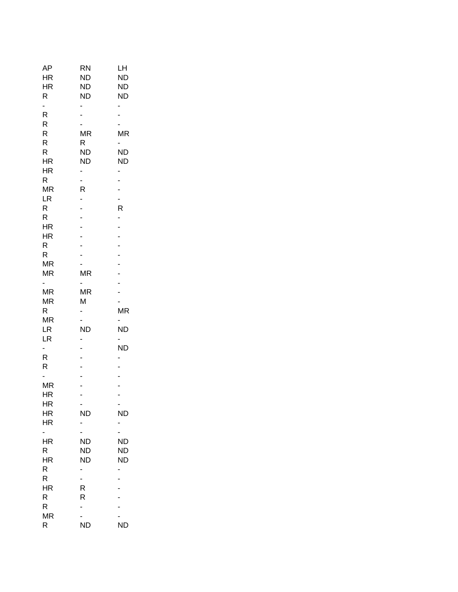| AΡ             | <b>RN</b>                | LН        |
|----------------|--------------------------|-----------|
| HR             | <b>ND</b>                | <b>ND</b> |
| HR             | ND                       | <b>ND</b> |
| R              | <b>ND</b>                | <b>ND</b> |
| ÷,             | -                        |           |
| R              | $\overline{a}$           |           |
| R              |                          |           |
| R              | <b>MR</b>                | <b>MR</b> |
| R              | R                        |           |
| R              | <b>ND</b>                | <b>ND</b> |
| HR             | <b>ND</b>                | <b>ND</b> |
| HR             |                          |           |
| R              | ÷,                       | -         |
| <b>MR</b>      | R                        |           |
| LR             |                          |           |
| R              |                          | R         |
| R              | $\overline{a}$           | -         |
| HR             | $\overline{a}$           |           |
| HR             | $\overline{a}$           |           |
| R              |                          |           |
| R.             | ÷,                       |           |
| <b>MR</b>      |                          |           |
| <b>MR</b>      | ΜR                       |           |
|                | Ξ.                       | -         |
| <b>MR</b>      | MR                       | -         |
| <b>MR</b>      | Μ                        |           |
| $\mathsf{R}$   | $\overline{\phantom{a}}$ | <b>MR</b> |
| <b>MR</b>      |                          |           |
| LR             | <b>ND</b>                | <b>ND</b> |
| LR             | -                        |           |
| ۵,             | $\overline{a}$           | <b>ND</b> |
| R              |                          | -         |
| R              | $\overline{\phantom{a}}$ |           |
|                |                          |           |
| <b>MR</b>      | $\overline{a}$           |           |
| <b>HR</b>      |                          | -         |
| HR             | ۰                        |           |
| ΗR             | <b>ND</b>                | <b>ND</b> |
| HR             |                          | -         |
|                |                          |           |
| HR             | <b>ND</b>                | <b>ND</b> |
| R              | ND                       | ND        |
| HR             | ND                       | <b>ND</b> |
| R              | -                        | -         |
| R<br><b>HR</b> | ÷,                       | -         |
|                | R<br>R                   |           |
| R<br>R         |                          |           |
| <b>MR</b>      | ۰.                       |           |
| R              | ND                       | <b>ND</b> |
|                |                          |           |